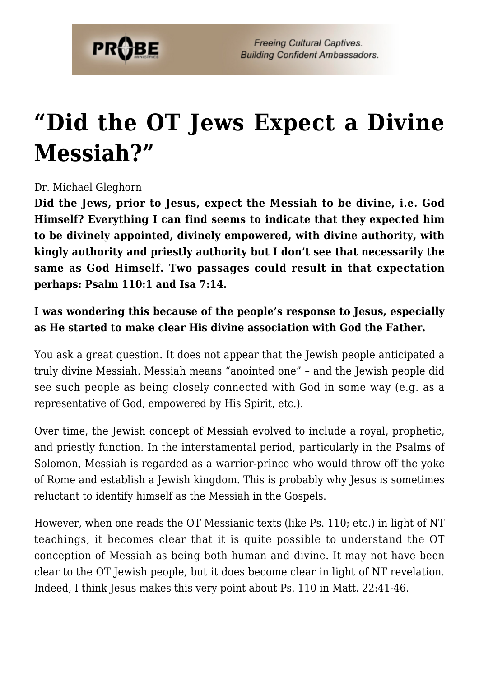

## **["Did the OT Jews Expect a Divine](https://probe.org/did-the-ot-jews-expect-a-divine-messiah/) [Messiah?"](https://probe.org/did-the-ot-jews-expect-a-divine-messiah/)**

## Dr. Michael Gleghorn

**Did the Jews, prior to Jesus, expect the Messiah to be divine, i.e. God Himself? Everything I can find seems to indicate that they expected him to be divinely appointed, divinely empowered, with divine authority, with kingly authority and priestly authority but I don't see that necessarily the same as God Himself. Two passages could result in that expectation perhaps: Psalm 110:1 and Isa 7:14.**

## **I was wondering this because of the people's response to Jesus, especially as He started to make clear His divine association with God the Father.**

You ask a great question. It does not appear that the Jewish people anticipated a truly divine Messiah. Messiah means "anointed one" – and the Jewish people did see such people as being closely connected with God in some way (e.g. as a representative of God, empowered by His Spirit, etc.).

Over time, the Jewish concept of Messiah evolved to include a royal, prophetic, and priestly function. In the interstamental period, particularly in the Psalms of Solomon, Messiah is regarded as a warrior-prince who would throw off the yoke of Rome and establish a Jewish kingdom. This is probably why Jesus is sometimes reluctant to identify himself as the Messiah in the Gospels.

However, when one reads the OT Messianic texts (like Ps. 110; etc.) in light of NT teachings, it becomes clear that it is quite possible to understand the OT conception of Messiah as being both human and divine. It may not have been clear to the OT Jewish people, but it does become clear in light of NT revelation. Indeed, I think Jesus makes this very point about Ps. 110 in Matt. 22:41-46.